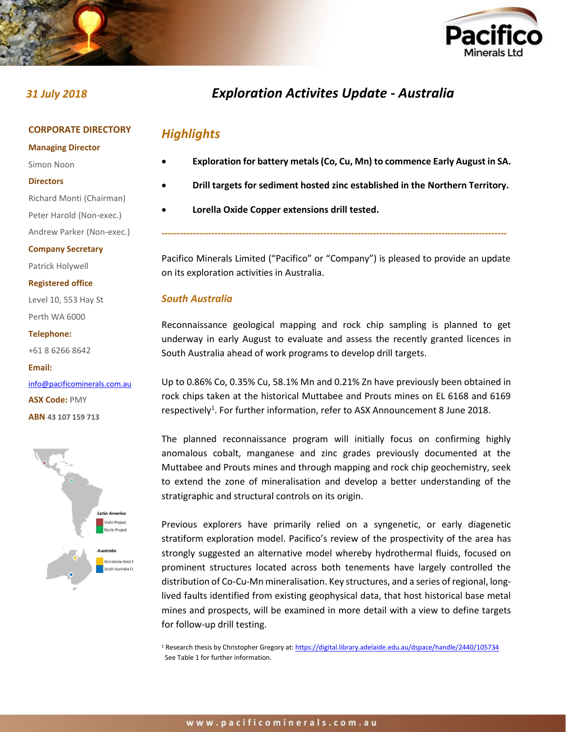

### **CORPORATE DIRECTORY**

**Managing Director**

- Simon Noon
- **Directors**
- Richard Monti (Chairman) Peter Harold (Non-exec.)
- Andrew Parker (Non-exec.)

#### **Company Secretary**

Patrick Holywell

**Registered office**

Level 10, 553 Hay St Perth WA 6000

**Telephone:**

+61 8 6266 8642

**Email:** [info@pacificominerals.com.au](mailto:info@pacificominerals.com.au) **ASX Code:** PMY **ABN 43 107 159 713**



# *31 July 2018 Exploration Activites Update - Australia*

# *Highlights*

- **Exploration for battery metals (Co, Cu, Mn) to commence Early August in SA.**
- **Drill targets for sediment hosted zinc established in the Northern Territory.**
- **Lorella Oxide Copper extensions drill tested.**

Pacifico Minerals Limited ("Pacifico" or "Company") is pleased to provide an update on its exploration activities in Australia.

*---------------------------------------------------------------------------------------------------------------*

# *South Australia*

Reconnaissance geological mapping and rock chip sampling is planned to get underway in early August to evaluate and assess the recently granted licences in South Australia ahead of work programs to develop drill targets.

Up to 0.86% Co, 0.35% Cu, 58.1% Mn and 0.21% Zn have previously been obtained in rock chips taken at the historical Muttabee and Prouts mines on EL 6168 and 6169 respectively<sup>1</sup>. For further information, refer to ASX Announcement 8 June 2018.

The planned reconnaissance program will initially focus on confirming highly anomalous cobalt, manganese and zinc grades previously documented at the Muttabee and Prouts mines and through mapping and rock chip geochemistry, seek to extend the zone of mineralisation and develop a better understanding of the stratigraphic and structural controls on its origin.

Previous explorers have primarily relied on a syngenetic, or early diagenetic stratiform exploration model. Pacifico's review of the prospectivity of the area has strongly suggested an alternative model whereby hydrothermal fluids, focused on prominent structures located across both tenements have largely controlled the distribution of Co-Cu-Mn mineralisation. Key structures, and a series of regional, longlived faults identified from existing geophysical data, that host historical base metal mines and prospects, will be examined in more detail with a view to define targets for follow-up drill testing.

<sup>1</sup> Research thesis by Christopher Gregory at[: https://digital.library.adelaide.edu.au/dspace/handle/2440/105734](https://digital.library.adelaide.edu.au/dspace/handle/2440/105734) See Table 1 for further information.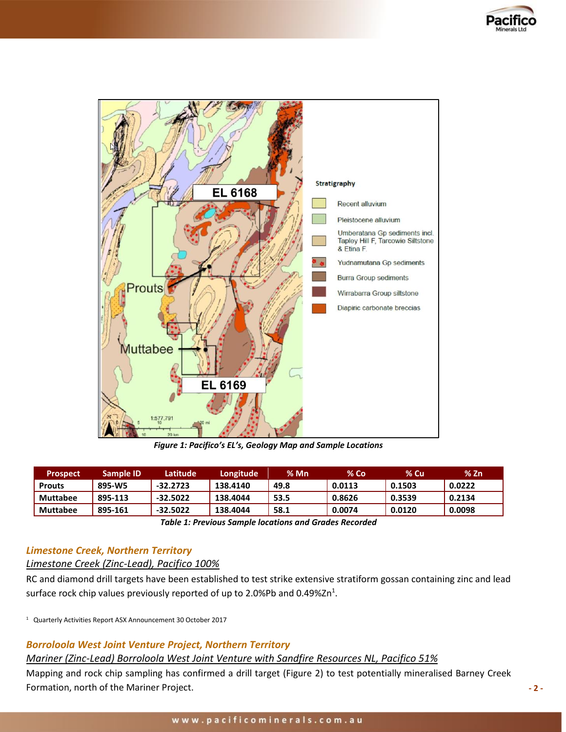



*Figure 1: Pacifico's EL's, Geology Map and Sample Locations*

| 'Prospect.      | Sample ID | Latitude   | Longitude | % Mn | % Co   | $%$ Cu | % 7n   |
|-----------------|-----------|------------|-----------|------|--------|--------|--------|
| <b>Prouts</b>   | 895-W5    | $-32.2723$ | 138.4140  | 49.8 | 0.0113 | 0.1503 | 0.0222 |
| <b>Muttabee</b> | 895-113   | $-32.5022$ | 138.4044  | 53.5 | 0.8626 | 0.3539 | 0.2134 |
| <b>Muttabee</b> | 895-161   | $-32.5022$ | 138.4044  | 58.1 | 0.0074 | 0.0120 | 0.0098 |

*Table 1: Previous Sample locations and Grades Recorded*

# *Limestone Creek, Northern Territory*

# *Limestone Creek (Zinc-Lead), Pacifico 100%*

RC and diamond drill targets have been established to test strike extensive stratiform gossan containing zinc and lead surface rock chip values previously reported of up to 2.0%Pb and 0.49%Zn<sup>1</sup>.

1 Quarterly Activities Report ASX Announcement 30 October 2017

# *Borroloola West Joint Venture Project, Northern Territory*

# *Mariner (Zinc-Lead) Borroloola West Joint Venture with Sandfire Resources NL, Pacifico 51%*

Mapping and rock chip sampling has confirmed a drill target (Figure 2) to test potentially mineralised Barney Creek Formation, north of the Mariner Project.

**- 2 -**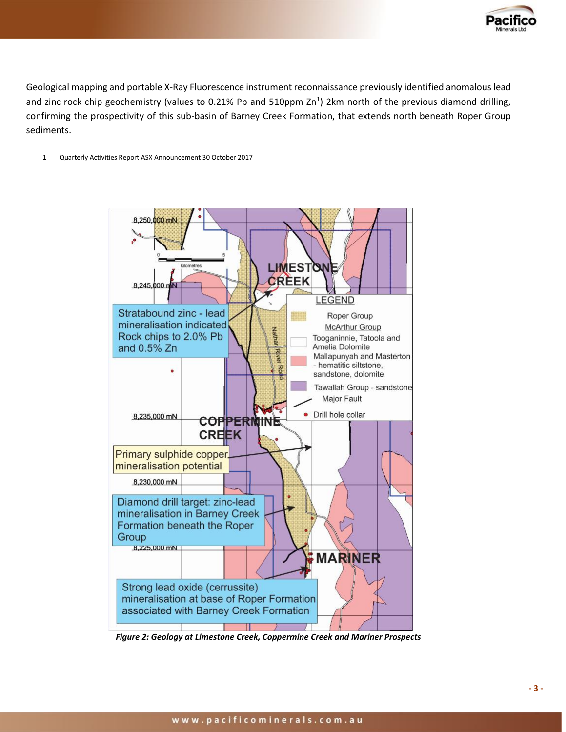

Geological mapping and portable X-Ray Fluorescence instrument reconnaissance previously identified anomalous lead and zinc rock chip geochemistry (values to 0.21% Pb and 510ppm Zn<sup>1</sup>) 2km north of the previous diamond drilling, confirming the prospectivity of this sub-basin of Barney Creek Formation, that extends north beneath Roper Group sediments.

1 Quarterly Activities Report ASX Announcement 30 October 2017



*Figure 2: Geology at Limestone Creek, Coppermine Creek and Mariner Prospects*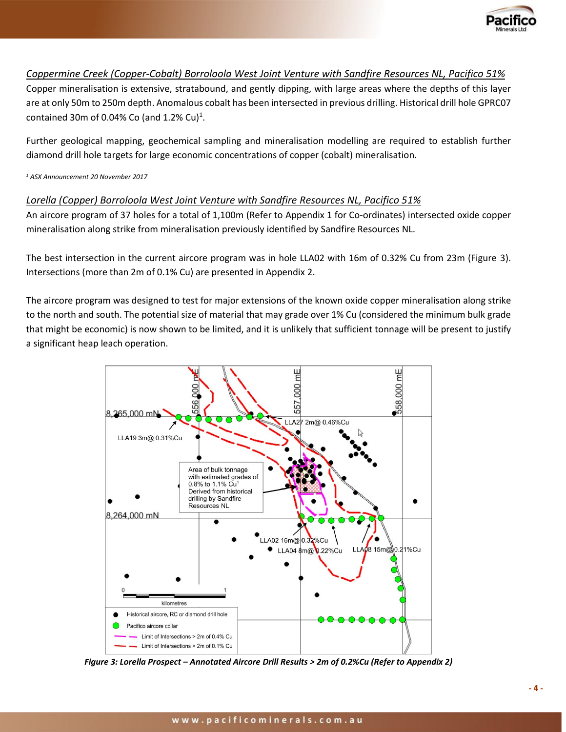

# *Coppermine Creek (Copper-Cobalt) Borroloola West Joint Venture with Sandfire Resources NL, Pacifico 51%*

Copper mineralisation is extensive, stratabound, and gently dipping, with large areas where the depths of this layer are at only 50m to 250m depth. Anomalous cobalt has been intersected in previous drilling. Historical drill hole GPRC07 contained 30m of 0.04% Co (and 1.2% Cu)<sup>1</sup>.

Further geological mapping, geochemical sampling and mineralisation modelling are required to establish further diamond drill hole targets for large economic concentrations of copper (cobalt) mineralisation.

*<sup>1</sup> ASX Announcement 20 November 2017*

# *Lorella (Copper) Borroloola West Joint Venture with Sandfire Resources NL, Pacifico 51%*

An aircore program of 37 holes for a total of 1,100m (Refer to Appendix 1 for Co-ordinates) intersected oxide copper mineralisation along strike from mineralisation previously identified by Sandfire Resources NL.

The best intersection in the current aircore program was in hole LLA02 with 16m of 0.32% Cu from 23m (Figure 3). Intersections (more than 2m of 0.1% Cu) are presented in Appendix 2.

The aircore program was designed to test for major extensions of the known oxide copper mineralisation along strike to the north and south. The potential size of material that may grade over 1% Cu (considered the minimum bulk grade that might be economic) is now shown to be limited, and it is unlikely that sufficient tonnage will be present to justify a significant heap leach operation.



*Figure 3: Lorella Prospect – Annotated Aircore Drill Results > 2m of 0.2%Cu (Refer to Appendix 2)*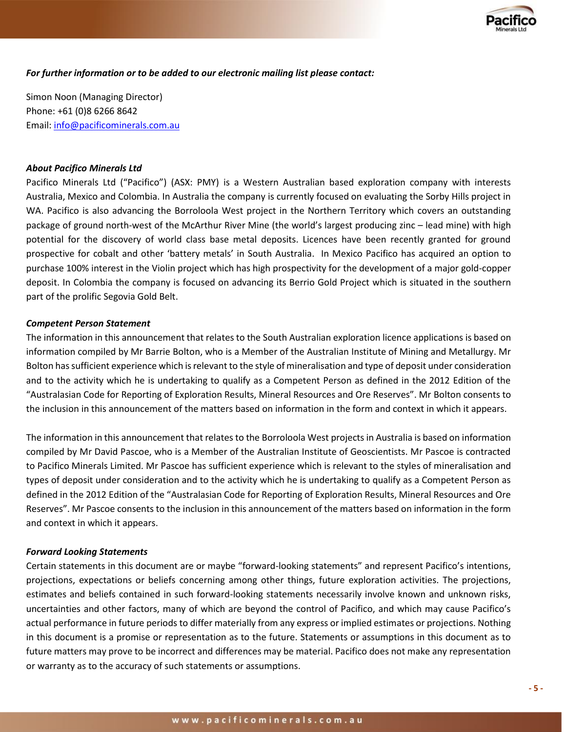

*For further information or to be added to our electronic mailing list please contact:* 

Simon Noon (Managing Director) Phone: +61 (0)8 6266 8642 Email: [info@pacificominerals.com.au](mailto:info@pacificominerals.com.au)

#### *About Pacifico Minerals Ltd*

Pacifico Minerals Ltd ("Pacifico") (ASX: PMY) is a Western Australian based exploration company with interests Australia, Mexico and Colombia. In Australia the company is currently focused on evaluating the Sorby Hills project in WA. Pacifico is also advancing the Borroloola West project in the Northern Territory which covers an outstanding package of ground north-west of the McArthur River Mine (the world's largest producing zinc – lead mine) with high potential for the discovery of world class base metal deposits. Licences have been recently granted for ground prospective for cobalt and other 'battery metals' in South Australia. In Mexico Pacifico has acquired an option to purchase 100% interest in the Violin project which has high prospectivity for the development of a major gold-copper deposit. In Colombia the company is focused on advancing its Berrio Gold Project which is situated in the southern part of the prolific Segovia Gold Belt.

### *Competent Person Statement*

The information in this announcement that relates to the South Australian exploration licence applications is based on information compiled by Mr Barrie Bolton, who is a Member of the Australian Institute of Mining and Metallurgy. Mr Bolton has sufficient experience which is relevant to the style of mineralisation and type of deposit under consideration and to the activity which he is undertaking to qualify as a Competent Person as defined in the 2012 Edition of the "Australasian Code for Reporting of Exploration Results, Mineral Resources and Ore Reserves". Mr Bolton consents to the inclusion in this announcement of the matters based on information in the form and context in which it appears.

The information in this announcement that relates to the Borroloola West projects in Australia is based on information compiled by Mr David Pascoe, who is a Member of the Australian Institute of Geoscientists. Mr Pascoe is contracted to Pacifico Minerals Limited. Mr Pascoe has sufficient experience which is relevant to the styles of mineralisation and types of deposit under consideration and to the activity which he is undertaking to qualify as a Competent Person as defined in the 2012 Edition of the "Australasian Code for Reporting of Exploration Results, Mineral Resources and Ore Reserves". Mr Pascoe consents to the inclusion in this announcement of the matters based on information in the form and context in which it appears.

#### *Forward Looking Statements*

Certain statements in this document are or maybe "forward-looking statements" and represent Pacifico's intentions, projections, expectations or beliefs concerning among other things, future exploration activities. The projections, estimates and beliefs contained in such forward-looking statements necessarily involve known and unknown risks, uncertainties and other factors, many of which are beyond the control of Pacifico, and which may cause Pacifico's actual performance in future periods to differ materially from any express or implied estimates or projections. Nothing in this document is a promise or representation as to the future. Statements or assumptions in this document as to future matters may prove to be incorrect and differences may be material. Pacifico does not make any representation or warranty as to the accuracy of such statements or assumptions.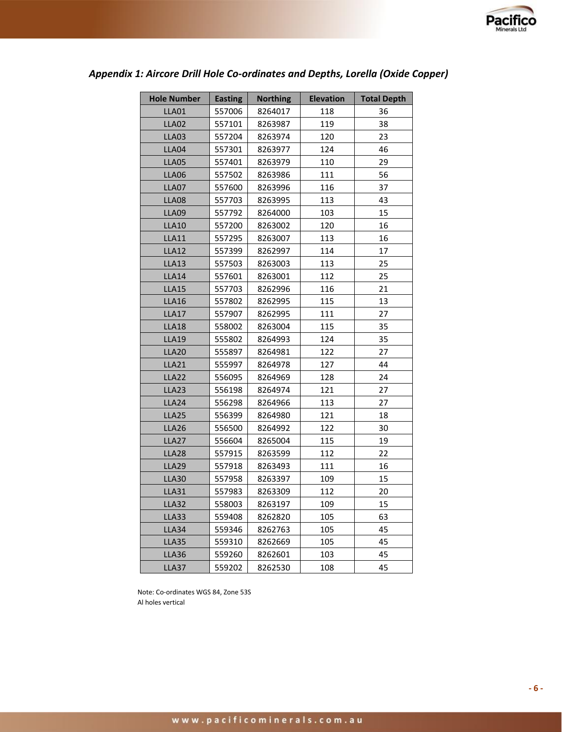

| <b>Hole Number</b> | <b>Easting</b> | <b>Northing</b> | <b>Elevation</b> | <b>Total Depth</b> |
|--------------------|----------------|-----------------|------------------|--------------------|
| <b>LLA01</b>       | 557006         | 8264017         | 118              | 36                 |
| <b>LLA02</b>       | 557101         | 8263987         | 119              | 38                 |
| <b>LLA03</b>       | 557204         | 8263974         | 120              | 23                 |
| LLA04              | 557301         | 8263977         | 124              | 46                 |
| LLA05              | 557401         | 8263979         | 110              | 29                 |
| <b>LLA06</b>       | 557502         | 8263986         | 111              | 56                 |
| LLA07              | 557600         | 8263996         | 116              | 37                 |
| <b>LLA08</b>       | 557703         | 8263995         | 113              | 43                 |
| <b>LLA09</b>       | 557792         | 8264000         | 103              | 15                 |
| <b>LLA10</b>       | 557200         | 8263002         | 120              | 16                 |
| <b>LLA11</b>       | 557295         | 8263007         | 113              | 16                 |
| <b>LLA12</b>       | 557399         | 8262997         | 114              | 17                 |
| <b>LLA13</b>       | 557503         | 8263003         | 113              | 25                 |
| <b>LLA14</b>       | 557601         | 8263001         | 112              | 25                 |
| <b>LLA15</b>       | 557703         | 8262996         | 116              | 21                 |
| <b>LLA16</b>       | 557802         | 8262995         | 115              | 13                 |
| <b>LLA17</b>       | 557907         | 8262995         | 111              | 27                 |
| <b>LLA18</b>       | 558002         | 8263004         | 115              | 35                 |
| <b>LLA19</b>       | 555802         | 8264993         | 124              | 35                 |
| <b>LLA20</b>       | 555897         | 8264981         | 122              | 27                 |
| <b>LLA21</b>       | 555997         | 8264978         | 127              | 44                 |
| <b>LLA22</b>       | 556095         | 8264969         | 128              | 24                 |
| <b>LLA23</b>       | 556198         | 8264974         | 121              | 27                 |
| LLA24              | 556298         | 8264966         | 113              | 27                 |
| <b>LLA25</b>       | 556399         | 8264980         | 121              | 18                 |
| <b>LLA26</b>       | 556500         | 8264992         | 122              | 30                 |
| <b>LLA27</b>       | 556604         | 8265004         | 115              | 19                 |
| <b>LLA28</b>       | 557915         | 8263599         | 112              | 22                 |
| <b>LLA29</b>       | 557918         | 8263493         | 111              | 16                 |
| <b>LLA30</b>       | 557958         | 8263397         | 109              | 15                 |
| <b>LLA31</b>       | 557983         | 8263309         | 112              | 20                 |
| <b>LLA32</b>       | 558003         | 8263197         | 109              | 15                 |
| <b>LLA33</b>       | 559408         | 8262820         | 105              | 63                 |
| LLA34              | 559346         | 8262763         | 105              | 45                 |
| <b>LLA35</b>       | 559310         | 8262669         | 105              | 45                 |
| LLA36              | 559260         | 8262601         | 103              | 45                 |
| <b>LLA37</b>       | 559202         | 8262530         | 108              | 45                 |

# *Appendix 1: Aircore Drill Hole Co-ordinates and Depths, Lorella (Oxide Copper)*

Note: Co-ordinates WGS 84, Zone 53S Al holes vertical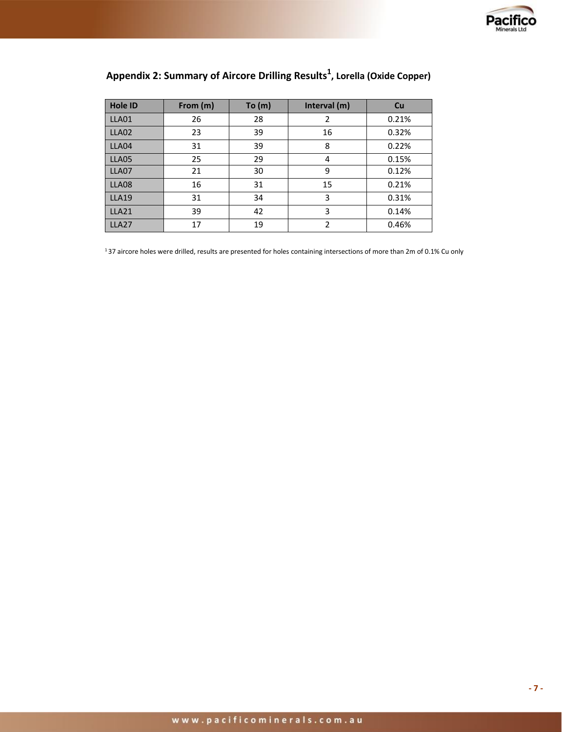

| <b>Hole ID</b> | From (m) | To (m) | Interval (m) | Cu    |
|----------------|----------|--------|--------------|-------|
| LLA01          | 26       | 28     |              | 0.21% |
| LLA02          | 23       | 39     | 16           | 0.32% |
| LLA04          | 31       | 39     | 8            | 0.22% |
| LLA05          | 25       | 29     | 4            | 0.15% |
| LLA07          | 21       | 30     | 9            | 0.12% |
| LLA08          | 16       | 31     | 15           | 0.21% |
| <b>LLA19</b>   | 31       | 34     | 3            | 0.31% |
| <b>LLA21</b>   | 39       | 42     | 3            | 0.14% |
| <b>LLA27</b>   | 17       | 19     | 2            | 0.46% |

# **Appendix 2: Summary of Aircore Drilling Results<sup>1</sup> , Lorella (Oxide Copper)**

1 37 aircore holes were drilled, results are presented for holes containing intersections of more than 2m of 0.1% Cu only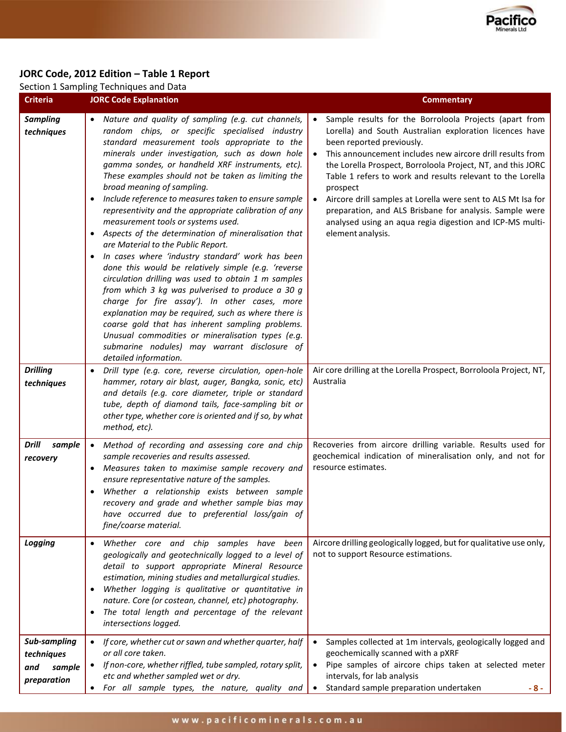

# **JORC Code, 2012 Edition – Table 1 Report**

|                                                                | Section 1 Sampling Techniques and Data                                                                                                                                                                                                                                                                                                                                                                                                                                                                                                                                                                                                                                                                                                                                                                                                                                                                                                                                                                                                                                                                                                                                                                                                                                                                                      |                                                                                                                                                                                                                                                                                                                                                                                                                                                                                                                                                                                                                                                                                 |  |  |
|----------------------------------------------------------------|-----------------------------------------------------------------------------------------------------------------------------------------------------------------------------------------------------------------------------------------------------------------------------------------------------------------------------------------------------------------------------------------------------------------------------------------------------------------------------------------------------------------------------------------------------------------------------------------------------------------------------------------------------------------------------------------------------------------------------------------------------------------------------------------------------------------------------------------------------------------------------------------------------------------------------------------------------------------------------------------------------------------------------------------------------------------------------------------------------------------------------------------------------------------------------------------------------------------------------------------------------------------------------------------------------------------------------|---------------------------------------------------------------------------------------------------------------------------------------------------------------------------------------------------------------------------------------------------------------------------------------------------------------------------------------------------------------------------------------------------------------------------------------------------------------------------------------------------------------------------------------------------------------------------------------------------------------------------------------------------------------------------------|--|--|
| <b>Criteria</b>                                                | <b>JORC Code Explanation</b>                                                                                                                                                                                                                                                                                                                                                                                                                                                                                                                                                                                                                                                                                                                                                                                                                                                                                                                                                                                                                                                                                                                                                                                                                                                                                                | <b>Commentary</b>                                                                                                                                                                                                                                                                                                                                                                                                                                                                                                                                                                                                                                                               |  |  |
| <b>Sampling</b><br>techniques<br><b>Drilling</b><br>techniques | Nature and quality of sampling (e.g. cut channels,<br>random chips, or specific specialised industry<br>standard measurement tools appropriate to the<br>minerals under investigation, such as down hole<br>gamma sondes, or handheld XRF instruments, etc).<br>These examples should not be taken as limiting the<br>broad meaning of sampling.<br>Include reference to measures taken to ensure sample<br>representivity and the appropriate calibration of any<br>measurement tools or systems used.<br>Aspects of the determination of mineralisation that<br>$\bullet$<br>are Material to the Public Report.<br>In cases where 'industry standard' work has been<br>٠<br>done this would be relatively simple (e.g. 'reverse<br>circulation drilling was used to obtain 1 m samples<br>from which 3 kg was pulverised to produce a 30 g<br>charge for fire assay'). In other cases, more<br>explanation may be required, such as where there is<br>coarse gold that has inherent sampling problems.<br>Unusual commodities or mineralisation types (e.g.<br>submarine nodules) may warrant disclosure of<br>detailed information.<br>Drill type (e.g. core, reverse circulation, open-hole<br>$\bullet$<br>hammer, rotary air blast, auger, Bangka, sonic, etc)<br>and details (e.g. core diameter, triple or standard | Sample results for the Borroloola Projects (apart from<br>$\bullet$<br>Lorella) and South Australian exploration licences have<br>been reported previously.<br>• This announcement includes new aircore drill results from<br>the Lorella Prospect, Borroloola Project, NT, and this JORC<br>Table 1 refers to work and results relevant to the Lorella<br>prospect<br>Aircore drill samples at Lorella were sent to ALS Mt Isa for<br>$\bullet$<br>preparation, and ALS Brisbane for analysis. Sample were<br>analysed using an aqua regia digestion and ICP-MS multi-<br>element analysis.<br>Air core drilling at the Lorella Prospect, Borroloola Project, NT,<br>Australia |  |  |
|                                                                | tube, depth of diamond tails, face-sampling bit or<br>other type, whether core is oriented and if so, by what<br>method, etc).                                                                                                                                                                                                                                                                                                                                                                                                                                                                                                                                                                                                                                                                                                                                                                                                                                                                                                                                                                                                                                                                                                                                                                                              |                                                                                                                                                                                                                                                                                                                                                                                                                                                                                                                                                                                                                                                                                 |  |  |
| Drill<br>sample<br>recovery                                    | Method of recording and assessing core and chip<br>$\bullet$<br>sample recoveries and results assessed.<br>Measures taken to maximise sample recovery and<br>ensure representative nature of the samples.<br>Whether a relationship exists between sample<br>$\bullet$<br>recovery and grade and whether sample bias may<br>have occurred due to preferential loss/gain of<br>fine/coarse material.                                                                                                                                                                                                                                                                                                                                                                                                                                                                                                                                                                                                                                                                                                                                                                                                                                                                                                                         | Recoveries from aircore drilling variable. Results used for<br>geochemical indication of mineralisation only, and not for<br>resource estimates.                                                                                                                                                                                                                                                                                                                                                                                                                                                                                                                                |  |  |
| Logging                                                        | Whether core and chip samples have been<br>geologically and geotechnically logged to a level of<br>detail to support appropriate Mineral Resource<br>estimation, mining studies and metallurgical studies.<br>Whether logging is qualitative or quantitative in<br>$\bullet$<br>nature. Core (or costean, channel, etc) photography.<br>The total length and percentage of the relevant<br>$\bullet$<br>intersections logged.                                                                                                                                                                                                                                                                                                                                                                                                                                                                                                                                                                                                                                                                                                                                                                                                                                                                                               | Aircore drilling geologically logged, but for qualitative use only,<br>not to support Resource estimations.                                                                                                                                                                                                                                                                                                                                                                                                                                                                                                                                                                     |  |  |
| Sub-sampling<br>techniques<br>and<br>sample<br>preparation     | If core, whether cut or sawn and whether quarter, half<br>$\bullet$<br>or all core taken.<br>If non-core, whether riffled, tube sampled, rotary split,<br>etc and whether sampled wet or dry.<br>For all sample types, the nature, quality and<br>$\bullet$                                                                                                                                                                                                                                                                                                                                                                                                                                                                                                                                                                                                                                                                                                                                                                                                                                                                                                                                                                                                                                                                 | Samples collected at 1m intervals, geologically logged and<br>$\bullet$<br>geochemically scanned with a pXRF<br>• Pipe samples of aircore chips taken at selected meter<br>intervals, for lab analysis<br>Standard sample preparation undertaken<br>$\bullet$<br>- 8 -                                                                                                                                                                                                                                                                                                                                                                                                          |  |  |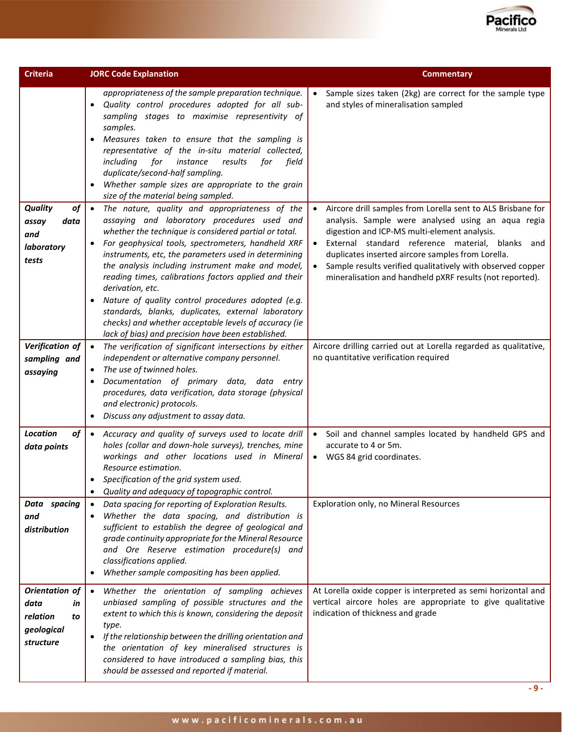

| <b>Criteria</b>                                                                                                    | <b>JORC Code Explanation</b>                                                                                                                                                                                                                                                                                                                                                                                                                                                                                                                                                                                                                                                                                                                                                                                                                                                                                                                                                                                                                                                                                                                                                                                                                                                                                        | <b>Commentary</b>                                                                                                                                                                                                                                                                                                                                                                                                                                                                                                                                                                                                                  |
|--------------------------------------------------------------------------------------------------------------------|---------------------------------------------------------------------------------------------------------------------------------------------------------------------------------------------------------------------------------------------------------------------------------------------------------------------------------------------------------------------------------------------------------------------------------------------------------------------------------------------------------------------------------------------------------------------------------------------------------------------------------------------------------------------------------------------------------------------------------------------------------------------------------------------------------------------------------------------------------------------------------------------------------------------------------------------------------------------------------------------------------------------------------------------------------------------------------------------------------------------------------------------------------------------------------------------------------------------------------------------------------------------------------------------------------------------|------------------------------------------------------------------------------------------------------------------------------------------------------------------------------------------------------------------------------------------------------------------------------------------------------------------------------------------------------------------------------------------------------------------------------------------------------------------------------------------------------------------------------------------------------------------------------------------------------------------------------------|
| <b>Quality</b><br>of<br>assay<br>data<br>and<br>laboratory<br>tests<br>Verification of<br>sampling and<br>assaying | appropriateness of the sample preparation technique.<br>Quality control procedures adopted for all sub-<br>sampling stages to maximise representivity of<br>samples.<br>Measures taken to ensure that the sampling is<br>$\bullet$<br>representative of the in-situ material collected,<br>results<br>including<br>for<br>instance<br>for<br>field<br>duplicate/second-half sampling.<br>Whether sample sizes are appropriate to the grain<br>size of the material being sampled.<br>The nature, quality and appropriateness of the<br>$\bullet$<br>assaying and laboratory procedures used and<br>whether the technique is considered partial or total.<br>For geophysical tools, spectrometers, handheld XRF<br>instruments, etc, the parameters used in determining<br>the analysis including instrument make and model,<br>reading times, calibrations factors applied and their<br>derivation, etc.<br>Nature of quality control procedures adopted (e.g.<br>$\bullet$<br>standards, blanks, duplicates, external laboratory<br>checks) and whether acceptable levels of accuracy (ie<br>lack of bias) and precision have been established.<br>The verification of significant intersections by either<br>$\bullet$<br>independent or alternative company personnel.<br>The use of twinned holes.<br>$\bullet$ | Sample sizes taken (2kg) are correct for the sample type<br>and styles of mineralisation sampled<br>Aircore drill samples from Lorella sent to ALS Brisbane for<br>$\bullet$<br>analysis. Sample were analysed using an aqua regia<br>digestion and ICP-MS multi-element analysis.<br>External standard reference material, blanks and<br>duplicates inserted aircore samples from Lorella.<br>Sample results verified qualitatively with observed copper<br>mineralisation and handheld pXRF results (not reported).<br>Aircore drilling carried out at Lorella regarded as qualitative,<br>no quantitative verification required |
|                                                                                                                    | Documentation of primary data, data entry<br>procedures, data verification, data storage (physical<br>and electronic) protocols.<br>Discuss any adjustment to assay data.                                                                                                                                                                                                                                                                                                                                                                                                                                                                                                                                                                                                                                                                                                                                                                                                                                                                                                                                                                                                                                                                                                                                           |                                                                                                                                                                                                                                                                                                                                                                                                                                                                                                                                                                                                                                    |
| <b>Location</b><br>of<br>data points                                                                               | • Accuracy and quality of surveys used to locate drill<br>holes (collar and down-hole surveys), trenches, mine<br>workings and other locations used in Mineral<br>Resource estimation.<br>Specification of the grid system used.<br>Quality and adequacy of topographic control.                                                                                                                                                                                                                                                                                                                                                                                                                                                                                                                                                                                                                                                                                                                                                                                                                                                                                                                                                                                                                                    | Soil and channel samples located by handheld GPS and<br>$\bullet$<br>accurate to 4 or 5m.<br>WGS 84 grid coordinates.<br>$\bullet$                                                                                                                                                                                                                                                                                                                                                                                                                                                                                                 |
| Data spacing<br>and<br>distribution                                                                                | Data spacing for reporting of Exploration Results.<br>$\bullet$<br>Whether the data spacing, and distribution is<br>$\bullet$<br>sufficient to establish the degree of geological and<br>grade continuity appropriate for the Mineral Resource<br>and Ore Reserve estimation procedure(s) and<br>classifications applied.<br>Whether sample compositing has been applied.<br>$\bullet$                                                                                                                                                                                                                                                                                                                                                                                                                                                                                                                                                                                                                                                                                                                                                                                                                                                                                                                              | Exploration only, no Mineral Resources                                                                                                                                                                                                                                                                                                                                                                                                                                                                                                                                                                                             |
| Orientation of<br>data<br>in<br>relation<br>to<br>geological<br>structure                                          | Whether the orientation of sampling achieves<br>$\bullet$<br>unbiased sampling of possible structures and the<br>extent to which this is known, considering the deposit<br>type.<br>If the relationship between the drilling orientation and<br>$\bullet$<br>the orientation of key mineralised structures is<br>considered to have introduced a sampling bias, this<br>should be assessed and reported if material.                                                                                                                                                                                                                                                                                                                                                                                                                                                                                                                                                                                                                                                                                                                                                                                                                                                                                                | At Lorella oxide copper is interpreted as semi horizontal and<br>vertical aircore holes are appropriate to give qualitative<br>indication of thickness and grade                                                                                                                                                                                                                                                                                                                                                                                                                                                                   |

**- 9 -**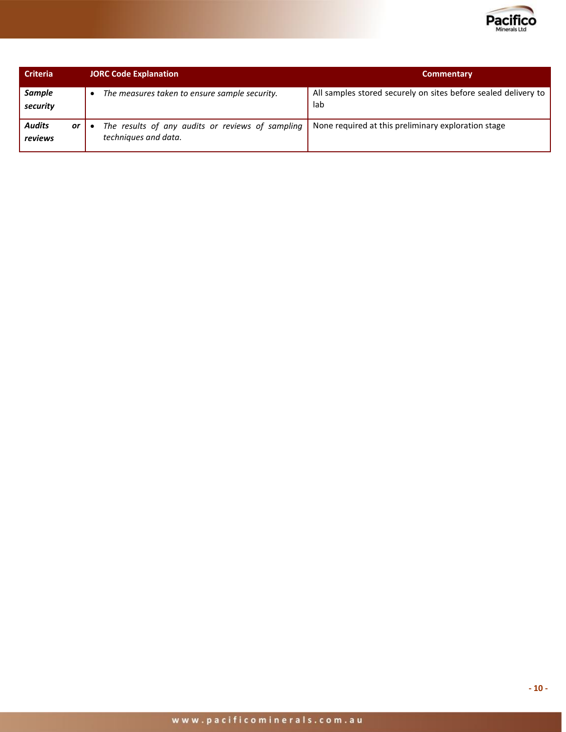

| <b>Criteria</b>                | <b>JORC Code Explanation</b> |                                                                          | <b>Commentary</b>                                                     |  |
|--------------------------------|------------------------------|--------------------------------------------------------------------------|-----------------------------------------------------------------------|--|
| <b>Sample</b><br>security      |                              | The measures taken to ensure sample security.                            | All samples stored securely on sites before sealed delivery to<br>lab |  |
| <b>Audits</b><br>or<br>reviews |                              | The results of any audits or reviews of sampling<br>techniques and data. | None required at this preliminary exploration stage                   |  |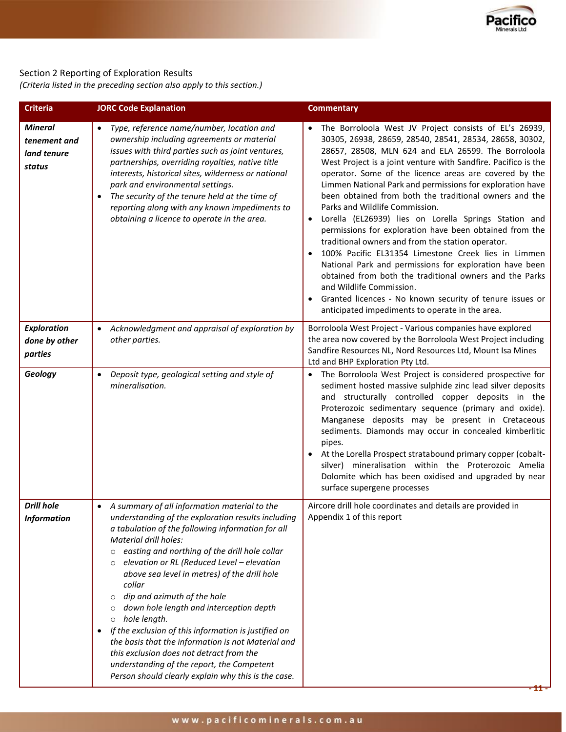

# Section 2 Reporting of Exploration Results

*(Criteria listed in the preceding section also apply to this section.)*

| <b>Criteria</b>                                         | <b>JORC Code Explanation</b>                                                                                                                                                                                                                                                                                                                                                                                                                                                                                                                                                                                                                                                                                                                                             | <b>Commentary</b>                                                                                                                                                                                                                                                                                                                                                                                                                                                                                                                                                                                                                                                                                                                                                                                                                                                                                                                                                                          |
|---------------------------------------------------------|--------------------------------------------------------------------------------------------------------------------------------------------------------------------------------------------------------------------------------------------------------------------------------------------------------------------------------------------------------------------------------------------------------------------------------------------------------------------------------------------------------------------------------------------------------------------------------------------------------------------------------------------------------------------------------------------------------------------------------------------------------------------------|--------------------------------------------------------------------------------------------------------------------------------------------------------------------------------------------------------------------------------------------------------------------------------------------------------------------------------------------------------------------------------------------------------------------------------------------------------------------------------------------------------------------------------------------------------------------------------------------------------------------------------------------------------------------------------------------------------------------------------------------------------------------------------------------------------------------------------------------------------------------------------------------------------------------------------------------------------------------------------------------|
| <b>Mineral</b><br>tenement and<br>land tenure<br>status | Type, reference name/number, location and<br>ownership including agreements or material<br>issues with third parties such as joint ventures,<br>partnerships, overriding royalties, native title<br>interests, historical sites, wilderness or national<br>park and environmental settings.<br>The security of the tenure held at the time of<br>$\bullet$<br>reporting along with any known impediments to<br>obtaining a licence to operate in the area.                                                                                                                                                                                                                                                                                                               | • The Borroloola West JV Project consists of EL's 26939,<br>30305, 26938, 28659, 28540, 28541, 28534, 28658, 30302,<br>28657, 28508, MLN 624 and ELA 26599. The Borroloola<br>West Project is a joint venture with Sandfire. Pacifico is the<br>operator. Some of the licence areas are covered by the<br>Limmen National Park and permissions for exploration have<br>been obtained from both the traditional owners and the<br>Parks and Wildlife Commission.<br>Lorella (EL26939) lies on Lorella Springs Station and<br>$\bullet$<br>permissions for exploration have been obtained from the<br>traditional owners and from the station operator.<br>100% Pacific EL31354 Limestone Creek lies in Limmen<br>$\bullet$<br>National Park and permissions for exploration have been<br>obtained from both the traditional owners and the Parks<br>and Wildlife Commission.<br>Granted licences - No known security of tenure issues or<br>anticipated impediments to operate in the area. |
| <b>Exploration</b><br>done by other<br>parties          | Acknowledgment and appraisal of exploration by<br>$\bullet$<br>other parties.                                                                                                                                                                                                                                                                                                                                                                                                                                                                                                                                                                                                                                                                                            | Borroloola West Project - Various companies have explored<br>the area now covered by the Borroloola West Project including<br>Sandfire Resources NL, Nord Resources Ltd, Mount Isa Mines<br>Ltd and BHP Exploration Pty Ltd.                                                                                                                                                                                                                                                                                                                                                                                                                                                                                                                                                                                                                                                                                                                                                               |
| Geology                                                 | Deposit type, geological setting and style of<br>$\bullet$<br>mineralisation.                                                                                                                                                                                                                                                                                                                                                                                                                                                                                                                                                                                                                                                                                            | • The Borroloola West Project is considered prospective for<br>sediment hosted massive sulphide zinc lead silver deposits<br>and structurally controlled copper deposits in the<br>Proterozoic sedimentary sequence (primary and oxide).<br>Manganese deposits may be present in Cretaceous<br>sediments. Diamonds may occur in concealed kimberlitic<br>pipes.<br>• At the Lorella Prospect stratabound primary copper (cobalt-<br>silver) mineralisation within the Proterozoic Amelia<br>Dolomite which has been oxidised and upgraded by near<br>surface supergene processes                                                                                                                                                                                                                                                                                                                                                                                                           |
| <b>Drill hole</b><br><b>Information</b>                 | • A summary of all information material to the<br>understanding of the exploration results including<br>a tabulation of the following information for all<br>Material drill holes:<br>easting and northing of the drill hole collar<br>$\circ$<br>elevation or RL (Reduced Level - elevation<br>$\circ$<br>above sea level in metres) of the drill hole<br>collar<br>dip and azimuth of the hole<br>$\circ$<br>down hole length and interception depth<br>$\circ$<br>hole length.<br>$\circ$<br>If the exclusion of this information is justified on<br>$\bullet$<br>the basis that the information is not Material and<br>this exclusion does not detract from the<br>understanding of the report, the Competent<br>Person should clearly explain why this is the case. | Aircore drill hole coordinates and details are provided in<br>Appendix 1 of this report<br>ш                                                                                                                                                                                                                                                                                                                                                                                                                                                                                                                                                                                                                                                                                                                                                                                                                                                                                               |